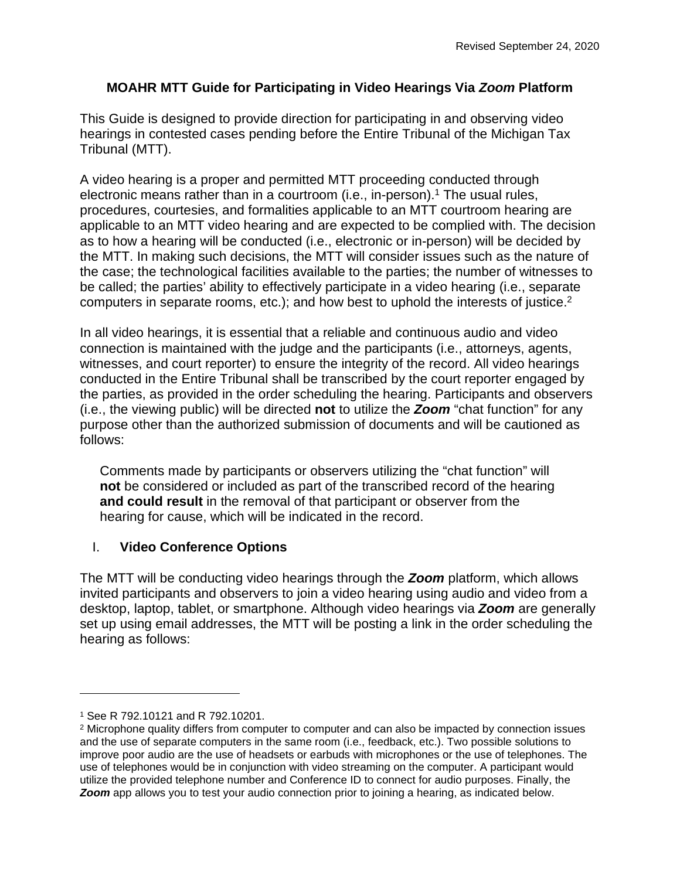# **MOAHR MTT Guide for Participating in Video Hearings Via** *Zoom* **Platform**

This Guide is designed to provide direction for participating in and observing video hearings in contested cases pending before the Entire Tribunal of the Michigan Tax Tribunal (MTT).

A video hearing is a proper and permitted MTT proceeding conducted through electronic means rather than in a courtroom (i.e., in-person).<sup>1</sup> The usual rules, procedures, courtesies, and formalities applicable to an MTT courtroom hearing are applicable to an MTT video hearing and are expected to be complied with. The decision as to how a hearing will be conducted (i.e., electronic or in-person) will be decided by the MTT. In making such decisions, the MTT will consider issues such as the nature of the case; the technological facilities available to the parties; the number of witnesses to be called; the parties' ability to effectively participate in a video hearing (i.e., separate computers in separate rooms, etc.); and how best to uphold the interests of justice.<sup>2</sup>

In all video hearings, it is essential that a reliable and continuous audio and video connection is maintained with the judge and the participants (i.e., attorneys, agents, witnesses, and court reporter) to ensure the integrity of the record. All video hearings conducted in the Entire Tribunal shall be transcribed by the court reporter engaged by the parties, as provided in the order scheduling the hearing. Participants and observers (i.e., the viewing public) will be directed **not** to utilize the *Zoom* "chat function" for any purpose other than the authorized submission of documents and will be cautioned as follows:

Comments made by participants or observers utilizing the "chat function" will **not** be considered or included as part of the transcribed record of the hearing **and could result** in the removal of that participant or observer from the hearing for cause, which will be indicated in the record.

# I. **Video Conference Options**

The MTT will be conducting video hearings through the *Zoom* platform, which allows invited participants and observers to join a video hearing using audio and video from a desktop, laptop, tablet, or smartphone. Although video hearings via *Zoom* are generally set up using email addresses, the MTT will be posting a link in the order scheduling the hearing as follows:

<sup>1</sup> See R 792.10121 and R 792.10201.

<sup>&</sup>lt;sup>2</sup> Microphone quality differs from computer to computer and can also be impacted by connection issues and the use of separate computers in the same room (i.e., feedback, etc.). Two possible solutions to improve poor audio are the use of headsets or earbuds with microphones or the use of telephones. The use of telephones would be in conjunction with video streaming on the computer. A participant would utilize the provided telephone number and Conference ID to connect for audio purposes. Finally, the **Zoom** app allows you to test your audio connection prior to joining a hearing, as indicated below.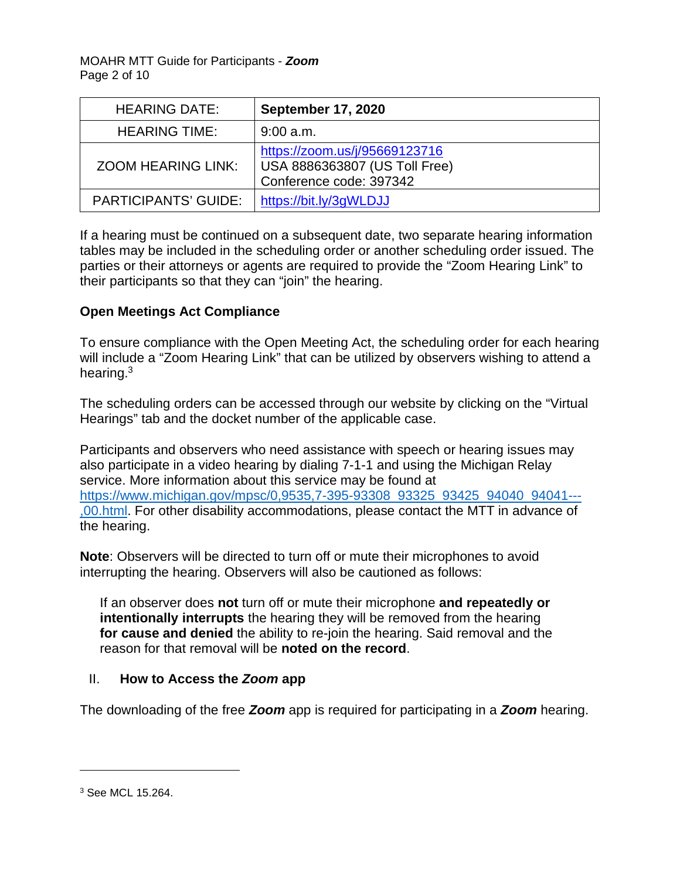MOAHR MTT Guide for Participants - *Zoom* Page 2 of 10

| <b>HEARING DATE:</b>        | <b>September 17, 2020</b>                                                                 |
|-----------------------------|-------------------------------------------------------------------------------------------|
| <b>HEARING TIME:</b>        | $9:00$ a.m.                                                                               |
| <b>ZOOM HEARING LINK:</b>   | https://zoom.us/j/95669123716<br>USA 8886363807 (US Toll Free)<br>Conference code: 397342 |
| <b>PARTICIPANTS' GUIDE:</b> | https://bit.ly/3qWLDJJ                                                                    |

If a hearing must be continued on a subsequent date, two separate hearing information tables may be included in the scheduling order or another scheduling order issued. The parties or their attorneys or agents are required to provide the "Zoom Hearing Link" to their participants so that they can "join" the hearing.

## **Open Meetings Act Compliance**

To ensure compliance with the Open Meeting Act, the scheduling order for each hearing will include a "Zoom Hearing Link" that can be utilized by observers wishing to attend a hearing.<sup>3</sup>

The scheduling orders can be accessed through our website by clicking on the "Virtual Hearings" tab and the docket number of the applicable case.

Participants and observers who need assistance with speech or hearing issues may also participate in a video hearing by dialing 7-1-1 and using the Michigan Relay service. More information about this service may be found at https://www.michigan.gov/mpsc/0.9535.7-395-93308\_93325\_93425\_94040\_94041---[,00.html.](https://www.michigan.gov/mpsc/0,9535,7-395-93308_93325_93425_94040_94041---,00.html) For other disability accommodations, please contact the MTT in advance of the hearing.

**Note**: Observers will be directed to turn off or mute their microphones to avoid interrupting the hearing. Observers will also be cautioned as follows:

If an observer does **not** turn off or mute their microphone **and repeatedly or intentionally interrupts** the hearing they will be removed from the hearing **for cause and denied** the ability to re-join the hearing. Said removal and the reason for that removal will be **noted on the record**.

#### II. **How to Access the** *Zoom* **app**

The downloading of the free *Zoom* app is required for participating in a *Zoom* hearing.

<sup>3</sup> See MCL 15.264.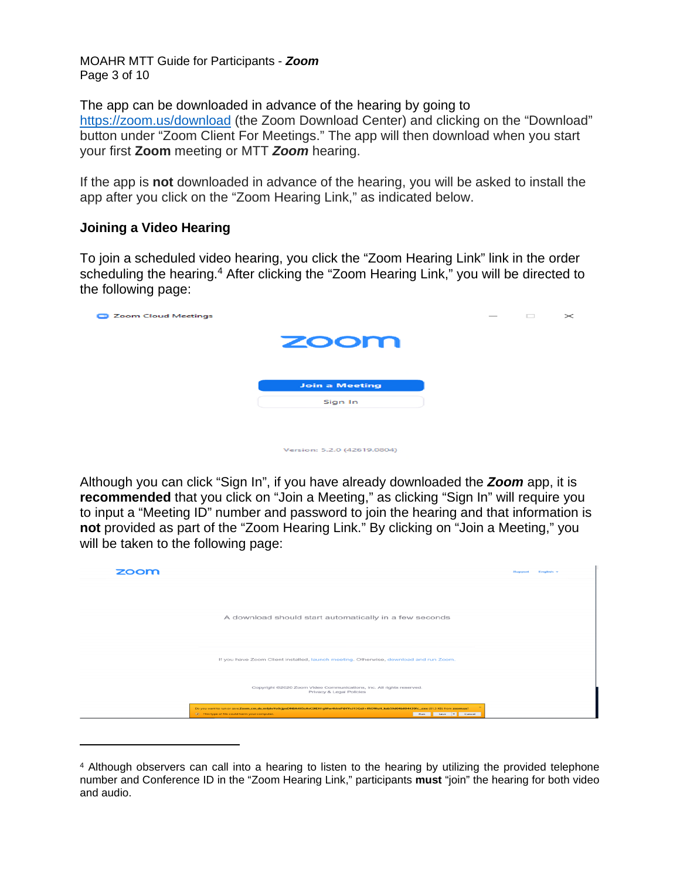MOAHR MTT Guide for Participants - *Zoom* Page 3 of 10

The app can be downloaded in advance of the hearing by going to <https://zoom.us/download>(the Zoom Download Center) and clicking on the "Download" button under "Zoom Client For Meetings." The app will then download when you start your first **Zoom** meeting or MTT *Zoom* hearing.

If the app is **not** downloaded in advance of the hearing, you will be asked to install the app after you click on the "Zoom Hearing Link," as indicated below.

#### **Joining a Video Hearing**

To join a scheduled video hearing, you click the "Zoom Hearing Link" link in the order scheduling the hearing.<sup>4</sup> After clicking the "Zoom Hearing Link," you will be directed to the following page:

| <b>Zoom Cloud Meetings</b><br><b>Contract</b> |                             |  | $\overline{\phantom{a}}$ | $\Box$ | $\times$ |
|-----------------------------------------------|-----------------------------|--|--------------------------|--------|----------|
|                                               | zoom                        |  |                          |        |          |
|                                               |                             |  |                          |        |          |
|                                               | <b>Join a Meeting</b>       |  |                          |        |          |
|                                               | Sign In                     |  |                          |        |          |
|                                               |                             |  |                          |        |          |
|                                               |                             |  |                          |        |          |
|                                               | Version: 5.2.0 (42619.0804) |  |                          |        |          |

Although you can click "Sign In", if you have already downloaded the *Zoom* app, it is **recommended** that you click on "Join a Meeting," as clicking "Sign In" will require you to input a "Meeting ID" number and password to join the hearing and that information is **not** provided as part of the "Zoom Hearing Link." By clicking on "Join a Meeting," you will be taken to the following page:

| zoom |                                                                                                                                                                                                                      | English -<br>Support |
|------|----------------------------------------------------------------------------------------------------------------------------------------------------------------------------------------------------------------------|----------------------|
|      | A download should start automatically in a few seconds                                                                                                                                                               |                      |
|      | If you have Zoom Client installed, launch meeting. Otherwise, download and run Zoom.                                                                                                                                 |                      |
|      | Copyright @2020 Zoom Video Communications, Inc. All rights reserved.<br>Privacy & Legal Policies                                                                                                                     |                      |
|      | Do you want to run or save Zoom_cm_ds_mfjdvVo9cjpnDNBA4II5eAvCXEH1qWw4hImP@fYeJ13GdJ+fROWuH_kab59d04bB04439fc_exe (81.3 KB) from zoom.us?<br>(a) This type of file could harm your computer.<br>Save = Cancel<br>Run |                      |

<sup>4</sup> Although observers can call into a hearing to listen to the hearing by utilizing the provided telephone number and Conference ID in the "Zoom Hearing Link," participants **must** "join" the hearing for both video and audio.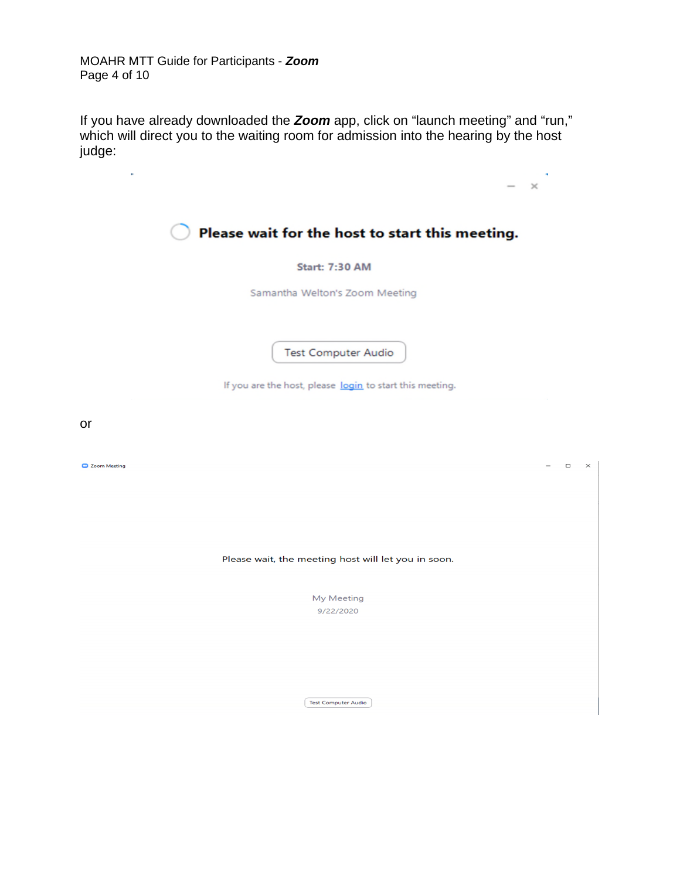MOAHR MTT Guide for Participants - *Zoom* Page 4 of 10

If you have already downloaded the *Zoom* app, click on "launch meeting" and "run," which will direct you to the waiting room for admission into the hearing by the host judge:

| ÷                                                        | $\times$           |
|----------------------------------------------------------|--------------------|
| Please wait for the host to start this meeting.          |                    |
| <b>Start: 7:30 AM</b>                                    |                    |
| Samantha Welton's Zoom Meeting                           |                    |
|                                                          |                    |
| <b>Test Computer Audio</b>                               |                    |
| If you are the host, please login to start this meeting. |                    |
|                                                          |                    |
| or                                                       |                    |
| Zoom Meeting                                             | $\Box$<br>$\times$ |
|                                                          |                    |
|                                                          |                    |
| Please wait, the meeting host will let you in soon.      |                    |
|                                                          |                    |
| My Meeting<br>9/22/2020                                  |                    |
|                                                          |                    |
|                                                          |                    |
| <b>Test Computer Audio</b>                               |                    |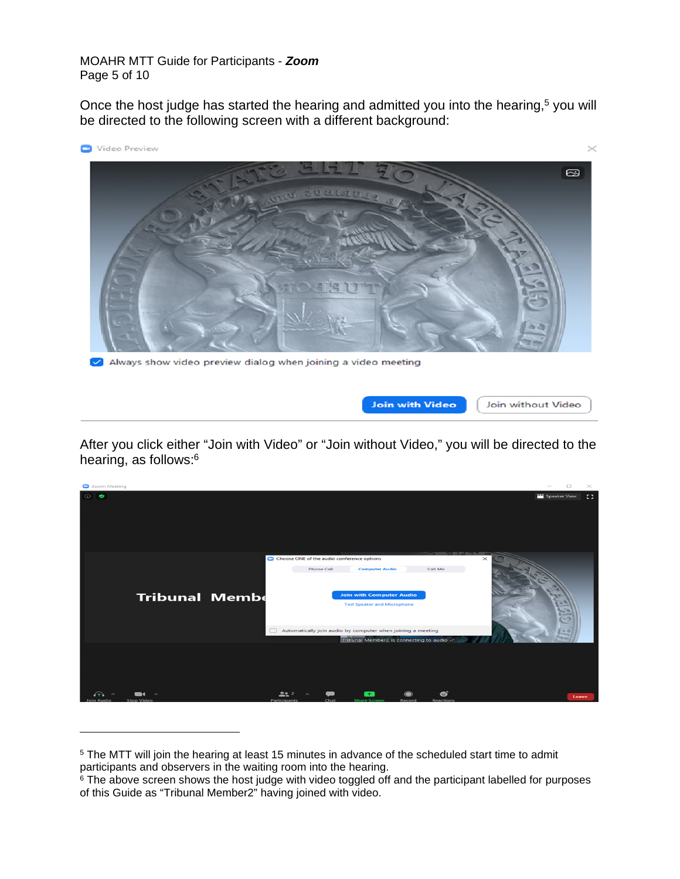#### MOAHR MTT Guide for Participants - *Zoom* Page 5 of 10

Once the host judge has started the hearing and admitted you into the hearing,<sup>5</sup> you will be directed to the following screen with a different background:



Always show video preview dialog when joining a video meeting



After you click either "Join with Video" or "Join without Video," you will be directed to the hearing, as follows:<sup>6</sup>



<sup>&</sup>lt;sup>5</sup> The MTT will join the hearing at least 15 minutes in advance of the scheduled start time to admit participants and observers in the waiting room into the hearing.

<sup>&</sup>lt;sup>6</sup> The above screen shows the host judge with video toggled off and the participant labelled for purposes of this Guide as "Tribunal Member2" having joined with video.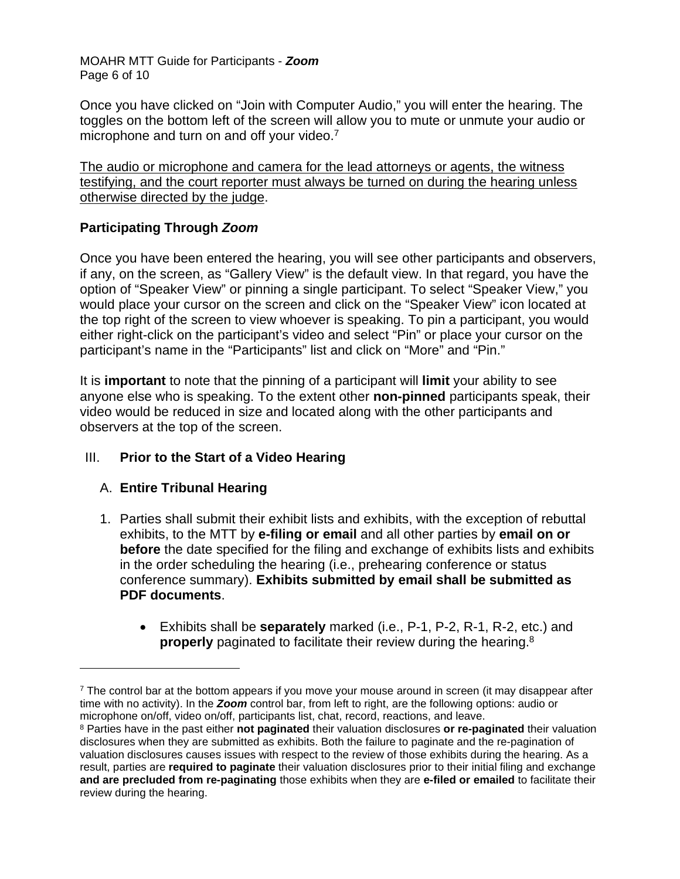MOAHR MTT Guide for Participants - *Zoom* Page 6 of 10

Once you have clicked on "Join with Computer Audio," you will enter the hearing. The toggles on the bottom left of the screen will allow you to mute or unmute your audio or microphone and turn on and off your video.<sup>7</sup>

The audio or microphone and camera for the lead attorneys or agents, the witness testifying, and the court reporter must always be turned on during the hearing unless otherwise directed by the judge.

## **Participating Through** *Zoom*

Once you have been entered the hearing, you will see other participants and observers, if any, on the screen, as "Gallery View" is the default view. In that regard, you have the option of "Speaker View" or pinning a single participant. To select "Speaker View," you would place your cursor on the screen and click on the "Speaker View" icon located at the top right of the screen to view whoever is speaking. To pin a participant, you would either right-click on the participant's video and select "Pin" or place your cursor on the participant's name in the "Participants" list and click on "More" and "Pin."

It is **important** to note that the pinning of a participant will **limit** your ability to see anyone else who is speaking. To the extent other **non-pinned** participants speak, their video would be reduced in size and located along with the other participants and observers at the top of the screen.

# III. **Prior to the Start of a Video Hearing**

#### A. **Entire Tribunal Hearing**

- 1. Parties shall submit their exhibit lists and exhibits, with the exception of rebuttal exhibits, to the MTT by **e-filing or email** and all other parties by **email on or before** the date specified for the filing and exchange of exhibits lists and exhibits in the order scheduling the hearing (i.e., prehearing conference or status conference summary). **Exhibits submitted by email shall be submitted as PDF documents**.
	- Exhibits shall be **separately** marked (i.e., P-1, P-2, R-1, R-2, etc.) and **properly** paginated to facilitate their review during the hearing.<sup>8</sup>

<sup>&</sup>lt;sup>7</sup> The control bar at the bottom appears if you move your mouse around in screen (it may disappear after time with no activity). In the *Zoom* control bar, from left to right, are the following options: audio or microphone on/off, video on/off, participants list, chat, record, reactions, and leave.

<sup>8</sup> Parties have in the past either **not paginated** their valuation disclosures **or re-paginated** their valuation disclosures when they are submitted as exhibits. Both the failure to paginate and the re-pagination of valuation disclosures causes issues with respect to the review of those exhibits during the hearing. As a result, parties are **required to paginate** their valuation disclosures prior to their initial filing and exchange **and are precluded from re-paginating** those exhibits when they are **e-filed or emailed** to facilitate their review during the hearing.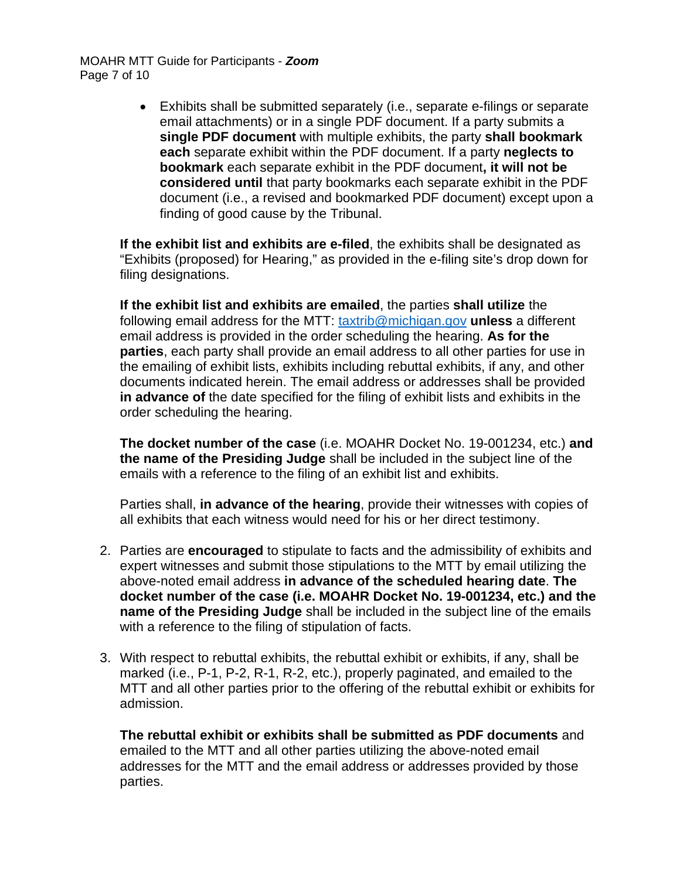MOAHR MTT Guide for Participants - *Zoom* Page 7 of 10

> Exhibits shall be submitted separately (i.e., separate e-filings or separate email attachments) or in a single PDF document. If a party submits a **single PDF document** with multiple exhibits, the party **shall bookmark each** separate exhibit within the PDF document. If a party **neglects to bookmark** each separate exhibit in the PDF document**, it will not be considered until** that party bookmarks each separate exhibit in the PDF document (i.e., a revised and bookmarked PDF document) except upon a finding of good cause by the Tribunal.

**If the exhibit list and exhibits are e-filed**, the exhibits shall be designated as "Exhibits (proposed) for Hearing," as provided in the e-filing site's drop down for filing designations.

**If the exhibit list and exhibits are emailed**, the parties **shall utilize** the following email address for the MTT: [taxtrib@michigan.gov](mailto:taxtrib@michigan.gov) **unless** a different email address is provided in the order scheduling the hearing. **As for the parties**, each party shall provide an email address to all other parties for use in the emailing of exhibit lists, exhibits including rebuttal exhibits, if any, and other documents indicated herein. The email address or addresses shall be provided **in advance of** the date specified for the filing of exhibit lists and exhibits in the order scheduling the hearing.

**The docket number of the case** (i.e. MOAHR Docket No. 19-001234, etc.) **and the name of the Presiding Judge** shall be included in the subject line of the emails with a reference to the filing of an exhibit list and exhibits.

Parties shall, **in advance of the hearing**, provide their witnesses with copies of all exhibits that each witness would need for his or her direct testimony.

- 2. Parties are **encouraged** to stipulate to facts and the admissibility of exhibits and expert witnesses and submit those stipulations to the MTT by email utilizing the above-noted email address **in advance of the scheduled hearing date**. **The docket number of the case (i.e. MOAHR Docket No. 19-001234, etc.) and the name of the Presiding Judge** shall be included in the subject line of the emails with a reference to the filing of stipulation of facts.
- 3. With respect to rebuttal exhibits, the rebuttal exhibit or exhibits, if any, shall be marked (i.e., P-1, P-2, R-1, R-2, etc.), properly paginated, and emailed to the MTT and all other parties prior to the offering of the rebuttal exhibit or exhibits for admission.

**The rebuttal exhibit or exhibits shall be submitted as PDF documents** and emailed to the MTT and all other parties utilizing the above-noted email addresses for the MTT and the email address or addresses provided by those parties.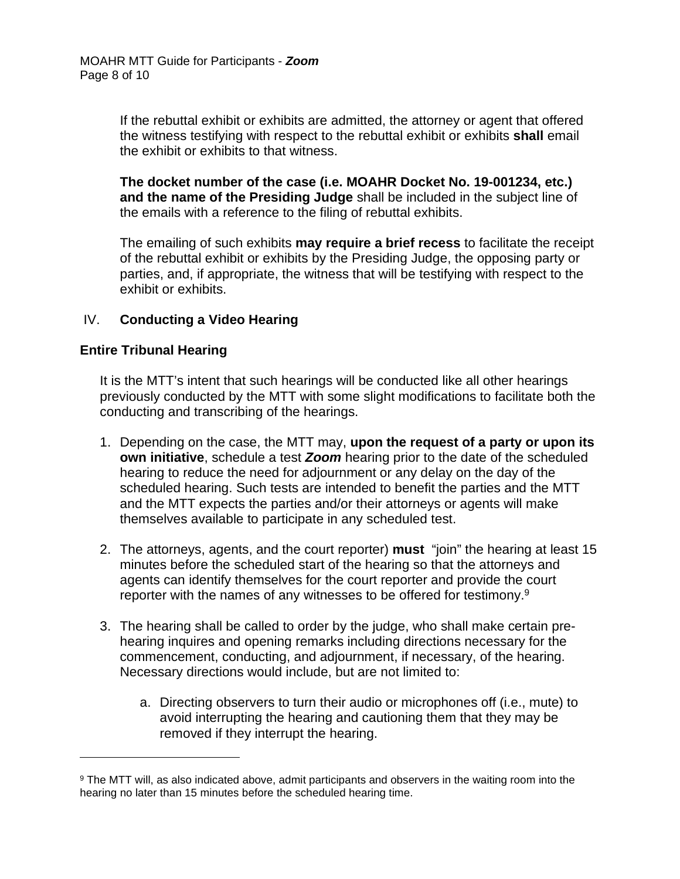If the rebuttal exhibit or exhibits are admitted, the attorney or agent that offered the witness testifying with respect to the rebuttal exhibit or exhibits **shall** email the exhibit or exhibits to that witness.

**The docket number of the case (i.e. MOAHR Docket No. 19-001234, etc.) and the name of the Presiding Judge** shall be included in the subject line of the emails with a reference to the filing of rebuttal exhibits.

The emailing of such exhibits **may require a brief recess** to facilitate the receipt of the rebuttal exhibit or exhibits by the Presiding Judge, the opposing party or parties, and, if appropriate, the witness that will be testifying with respect to the exhibit or exhibits.

## IV. **Conducting a Video Hearing**

#### **Entire Tribunal Hearing**

It is the MTT's intent that such hearings will be conducted like all other hearings previously conducted by the MTT with some slight modifications to facilitate both the conducting and transcribing of the hearings.

- 1. Depending on the case, the MTT may, **upon the request of a party or upon its own initiative**, schedule a test *Zoom* hearing prior to the date of the scheduled hearing to reduce the need for adjournment or any delay on the day of the scheduled hearing. Such tests are intended to benefit the parties and the MTT and the MTT expects the parties and/or their attorneys or agents will make themselves available to participate in any scheduled test.
- 2. The attorneys, agents, and the court reporter) **must** "join" the hearing at least 15 minutes before the scheduled start of the hearing so that the attorneys and agents can identify themselves for the court reporter and provide the court reporter with the names of any witnesses to be offered for testimony.<sup>9</sup>
- 3. The hearing shall be called to order by the judge, who shall make certain prehearing inquires and opening remarks including directions necessary for the commencement, conducting, and adjournment, if necessary, of the hearing. Necessary directions would include, but are not limited to:
	- a. Directing observers to turn their audio or microphones off (i.e., mute) to avoid interrupting the hearing and cautioning them that they may be removed if they interrupt the hearing.

<sup>&</sup>lt;sup>9</sup> The MTT will, as also indicated above, admit participants and observers in the waiting room into the hearing no later than 15 minutes before the scheduled hearing time.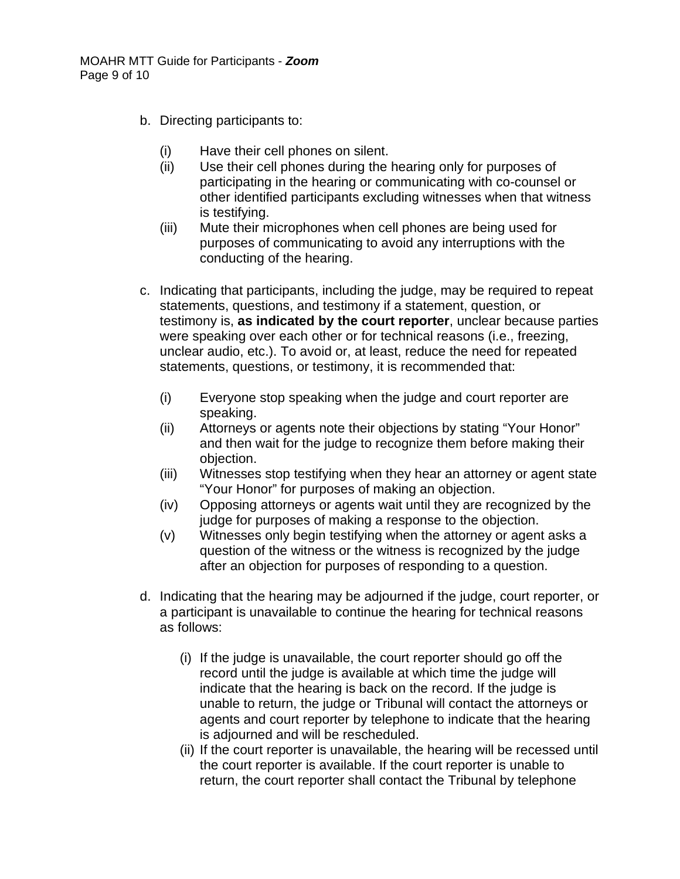- b. Directing participants to:
	- (i) Have their cell phones on silent.
	- (ii) Use their cell phones during the hearing only for purposes of participating in the hearing or communicating with co-counsel or other identified participants excluding witnesses when that witness is testifying.
	- (iii) Mute their microphones when cell phones are being used for purposes of communicating to avoid any interruptions with the conducting of the hearing.
- c. Indicating that participants, including the judge, may be required to repeat statements, questions, and testimony if a statement, question, or testimony is, **as indicated by the court reporter**, unclear because parties were speaking over each other or for technical reasons (i.e., freezing, unclear audio, etc.). To avoid or, at least, reduce the need for repeated statements, questions, or testimony, it is recommended that:
	- (i) Everyone stop speaking when the judge and court reporter are speaking.
	- (ii) Attorneys or agents note their objections by stating "Your Honor" and then wait for the judge to recognize them before making their objection.
	- (iii) Witnesses stop testifying when they hear an attorney or agent state "Your Honor" for purposes of making an objection.
	- (iv) Opposing attorneys or agents wait until they are recognized by the judge for purposes of making a response to the objection.
	- (v) Witnesses only begin testifying when the attorney or agent asks a question of the witness or the witness is recognized by the judge after an objection for purposes of responding to a question.
- d. Indicating that the hearing may be adjourned if the judge, court reporter, or a participant is unavailable to continue the hearing for technical reasons as follows:
	- (i) If the judge is unavailable, the court reporter should go off the record until the judge is available at which time the judge will indicate that the hearing is back on the record. If the judge is unable to return, the judge or Tribunal will contact the attorneys or agents and court reporter by telephone to indicate that the hearing is adjourned and will be rescheduled.
	- (ii) If the court reporter is unavailable, the hearing will be recessed until the court reporter is available. If the court reporter is unable to return, the court reporter shall contact the Tribunal by telephone